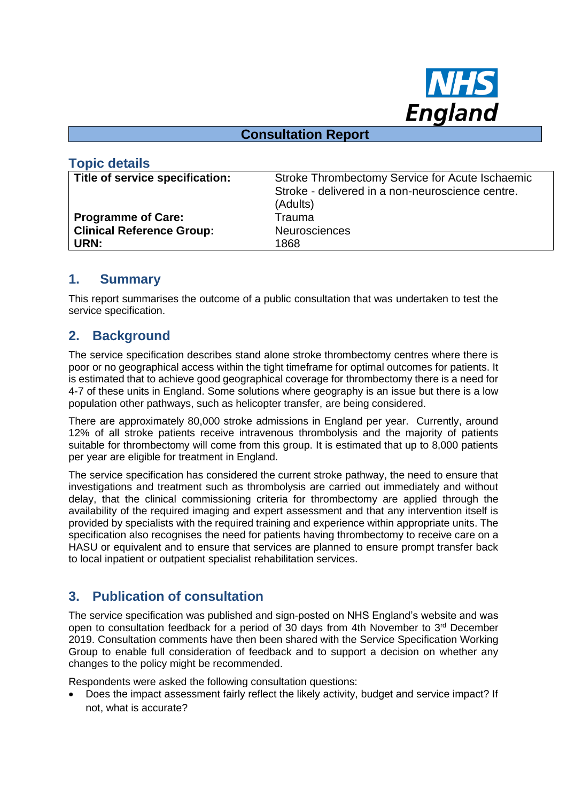

#### **Consultation Report**

| <b>Topic details</b>             |                                                  |
|----------------------------------|--------------------------------------------------|
| Title of service specification:  | Stroke Thrombectomy Service for Acute Ischaemic  |
|                                  | Stroke - delivered in a non-neuroscience centre. |
|                                  | (Adults)                                         |
| <b>Programme of Care:</b>        | Trauma                                           |
| <b>Clinical Reference Group:</b> | <b>Neurosciences</b>                             |
| URN:                             | 1868                                             |

#### **1. Summary**

This report summarises the outcome of a public consultation that was undertaken to test the service specification.

## **2. Background**

The service specification describes stand alone stroke thrombectomy centres where there is poor or no geographical access within the tight timeframe for optimal outcomes for patients. It is estimated that to achieve good geographical coverage for thrombectomy there is a need for 4-7 of these units in England. Some solutions where geography is an issue but there is a low population other pathways, such as helicopter transfer, are being considered.

There are approximately 80,000 stroke admissions in England per year. Currently, around 12% of all stroke patients receive intravenous thrombolysis and the majority of patients suitable for thrombectomy will come from this group. It is estimated that up to 8,000 patients per year are eligible for treatment in England.

The service specification has considered the current stroke pathway, the need to ensure that investigations and treatment such as thrombolysis are carried out immediately and without delay, that the clinical commissioning criteria for thrombectomy are applied through the availability of the required imaging and expert assessment and that any intervention itself is provided by specialists with the required training and experience within appropriate units. The specification also recognises the need for patients having thrombectomy to receive care on a HASU or equivalent and to ensure that services are planned to ensure prompt transfer back to local inpatient or outpatient specialist rehabilitation services.

# **3. Publication of consultation**

The service specification was published and sign-posted on NHS England's website and was open to consultation feedback for a period of 30 days from 4th November to  $3<sup>rd</sup>$  December 2019. Consultation comments have then been shared with the Service Specification Working Group to enable full consideration of feedback and to support a decision on whether any changes to the policy might be recommended.

Respondents were asked the following consultation questions:

• Does the impact assessment fairly reflect the likely activity, budget and service impact? If not, what is accurate?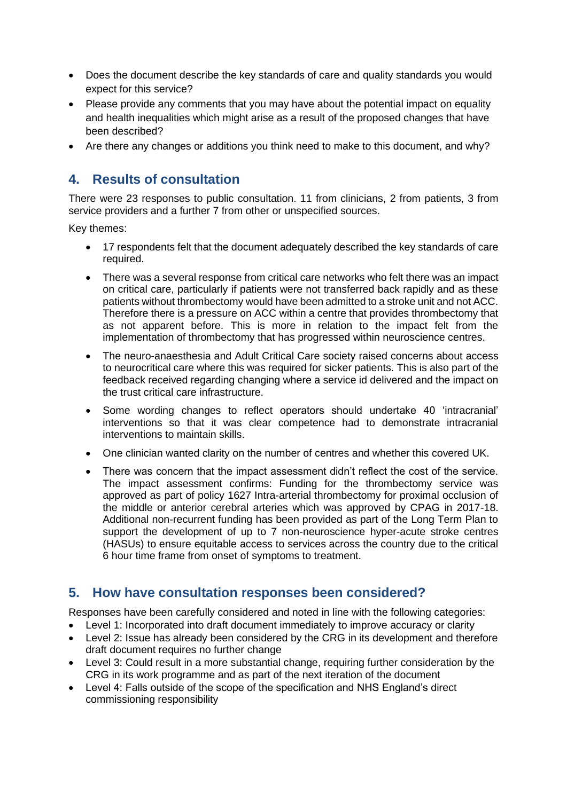- Does the document describe the key standards of care and quality standards you would expect for this service?
- Please provide any comments that you may have about the potential impact on equality and health inequalities which might arise as a result of the proposed changes that have been described?
- Are there any changes or additions you think need to make to this document, and why?

# **4. Results of consultation**

There were 23 responses to public consultation. 11 from clinicians, 2 from patients, 3 from service providers and a further 7 from other or unspecified sources.

Key themes:

- 17 respondents felt that the document adequately described the key standards of care required.
- There was a several response from critical care networks who felt there was an impact on critical care, particularly if patients were not transferred back rapidly and as these patients without thrombectomy would have been admitted to a stroke unit and not ACC. Therefore there is a pressure on ACC within a centre that provides thrombectomy that as not apparent before. This is more in relation to the impact felt from the implementation of thrombectomy that has progressed within neuroscience centres.
- The neuro-anaesthesia and Adult Critical Care society raised concerns about access to neurocritical care where this was required for sicker patients. This is also part of the feedback received regarding changing where a service id delivered and the impact on the trust critical care infrastructure.
- Some wording changes to reflect operators should undertake 40 'intracranial' interventions so that it was clear competence had to demonstrate intracranial interventions to maintain skills.
- One clinician wanted clarity on the number of centres and whether this covered UK.
- There was concern that the impact assessment didn't reflect the cost of the service. The impact assessment confirms: Funding for the thrombectomy service was approved as part of policy 1627 Intra-arterial thrombectomy for proximal occlusion of the middle or anterior cerebral arteries which was approved by CPAG in 2017-18. Additional non-recurrent funding has been provided as part of the Long Term Plan to support the development of up to 7 non-neuroscience hyper-acute stroke centres (HASUs) to ensure equitable access to services across the country due to the critical 6 hour time frame from onset of symptoms to treatment.

#### **5. How have consultation responses been considered?**

Responses have been carefully considered and noted in line with the following categories:

- Level 1: Incorporated into draft document immediately to improve accuracy or clarity
- Level 2: Issue has already been considered by the CRG in its development and therefore draft document requires no further change
- Level 3: Could result in a more substantial change, requiring further consideration by the CRG in its work programme and as part of the next iteration of the document
- Level 4: Falls outside of the scope of the specification and NHS England's direct commissioning responsibility